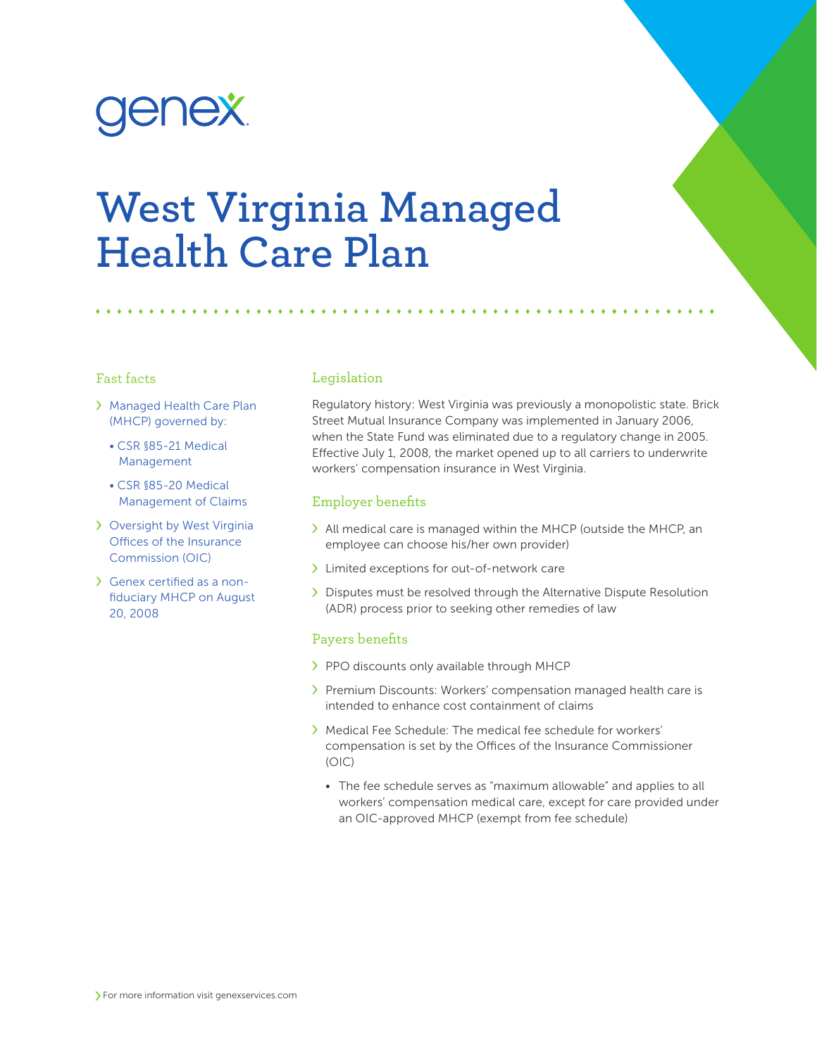# enex.

# **West Virginia Managed Health Care Plan**

#### Fast facts

- Managed Health Care Plan (MHCP) governed by:
	- CSR §85-21 Medical Management
	- CSR §85-20 Medical Management of Claims
- Oversight by West Virginia Offices of the Insurance Commission (OIC)
- Genex certified as a nonfiduciary MHCP on August 20, 2008

## Legislation

Regulatory history: West Virginia was previously a monopolistic state. Brick Street Mutual Insurance Company was implemented in January 2006, when the State Fund was eliminated due to a regulatory change in 2005. Effective July 1, 2008, the market opened up to all carriers to underwrite workers' compensation insurance in West Virginia.

#### Employer benefits

- All medical care is managed within the MHCP (outside the MHCP, an employee can choose his/her own provider)
- > Limited exceptions for out-of-network care
- Disputes must be resolved through the Alternative Dispute Resolution (ADR) process prior to seeking other remedies of law

#### Payers benefits

- > PPO discounts only available through MHCP
- > Premium Discounts: Workers' compensation managed health care is intended to enhance cost containment of claims
- Medical Fee Schedule: The medical fee schedule for workers' compensation is set by the Offices of the Insurance Commissioner (OIC)
	- The fee schedule serves as "maximum allowable" and applies to all workers' compensation medical care, except for care provided under an OIC-approved MHCP (exempt from fee schedule)